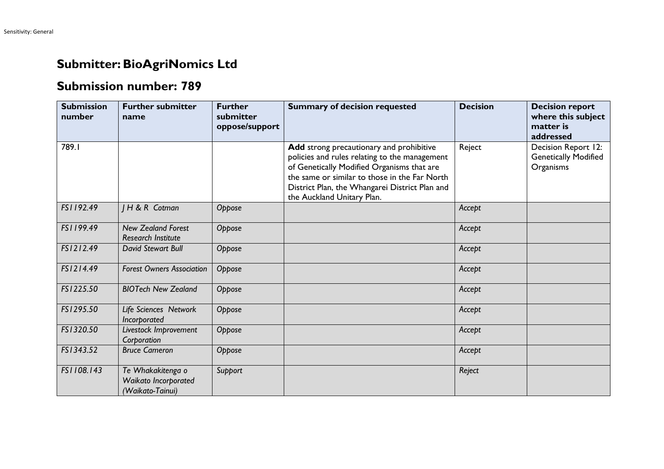## **Submitter:BioAgriNomics Ltd**

## **Submission number: 789**

| <b>Submission</b><br>number | <b>Further submitter</b><br>name                              | <b>Further</b><br>submitter<br>oppose/support | <b>Summary of decision requested</b>                                                                                                                                                                                                                                     | <b>Decision</b> | <b>Decision report</b><br>where this subject<br>matter is<br>addressed |
|-----------------------------|---------------------------------------------------------------|-----------------------------------------------|--------------------------------------------------------------------------------------------------------------------------------------------------------------------------------------------------------------------------------------------------------------------------|-----------------|------------------------------------------------------------------------|
| 789.I                       |                                                               |                                               | Add strong precautionary and prohibitive<br>policies and rules relating to the management<br>of Genetically Modified Organisms that are<br>the same or similar to those in the Far North<br>District Plan, the Whangarei District Plan and<br>the Auckland Unitary Plan. | Reject          | Decision Report 12:<br><b>Genetically Modified</b><br>Organisms        |
| FS1192.49                   | <b>JH &amp; R Cotman</b>                                      | Oppose                                        |                                                                                                                                                                                                                                                                          | Accept          |                                                                        |
| FS1199.49                   | <b>New Zealand Forest</b><br><b>Research Institute</b>        | Oppose                                        |                                                                                                                                                                                                                                                                          | Accept          |                                                                        |
| FS1212.49                   | David Stewart Bull                                            | Oppose                                        |                                                                                                                                                                                                                                                                          | Accept          |                                                                        |
| FS1214.49                   | <b>Forest Owners Association</b>                              | Oppose                                        |                                                                                                                                                                                                                                                                          | Accept          |                                                                        |
| FS1225.50                   | <b>BIOTech New Zealand</b>                                    | Oppose                                        |                                                                                                                                                                                                                                                                          | Accept          |                                                                        |
| FS1295.50                   | Life Sciences Network<br>Incorporated                         | Oppose                                        |                                                                                                                                                                                                                                                                          | Accept          |                                                                        |
| FS1320.50                   | Livestock Improvement<br>Corporation                          | Oppose                                        |                                                                                                                                                                                                                                                                          | Accept          |                                                                        |
| FS1343.52                   | <b>Bruce Cameron</b>                                          | Oppose                                        |                                                                                                                                                                                                                                                                          | Accept          |                                                                        |
| FS1108.143                  | Te Whakakitenga o<br>Waikato Incorporated<br>(Waikato-Tainui) | Support                                       |                                                                                                                                                                                                                                                                          | Reject          |                                                                        |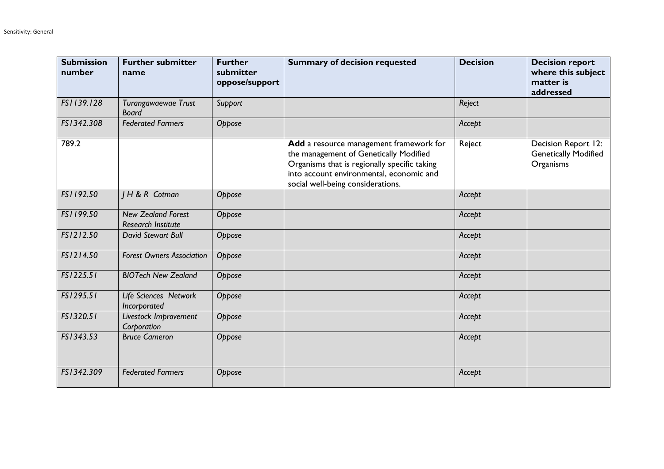| <b>Submission</b><br>number | <b>Further submitter</b><br>name                       | <b>Further</b><br>submitter<br>oppose/support | <b>Summary of decision requested</b>                                                                                                                                                                               | <b>Decision</b> | <b>Decision report</b><br>where this subject<br>matter is<br>addressed |
|-----------------------------|--------------------------------------------------------|-----------------------------------------------|--------------------------------------------------------------------------------------------------------------------------------------------------------------------------------------------------------------------|-----------------|------------------------------------------------------------------------|
| FS1139.128                  | Turangawaewae Trust<br><b>Board</b>                    | Support                                       |                                                                                                                                                                                                                    | Reject          |                                                                        |
| FS1342.308                  | <b>Federated Farmers</b>                               | Oppose                                        |                                                                                                                                                                                                                    | Accept          |                                                                        |
| 789.2                       |                                                        |                                               | Add a resource management framework for<br>the management of Genetically Modified<br>Organisms that is regionally specific taking<br>into account environmental, economic and<br>social well-being considerations. | Reject          | Decision Report 12:<br><b>Genetically Modified</b><br>Organisms        |
| FS1192.50                   | H & R Cotman                                           | Oppose                                        |                                                                                                                                                                                                                    | Accept          |                                                                        |
| FS1199.50                   | <b>New Zealand Forest</b><br><b>Research Institute</b> | Oppose                                        |                                                                                                                                                                                                                    | Accept          |                                                                        |
| FS1212.50                   | <b>David Stewart Bull</b>                              | Oppose                                        |                                                                                                                                                                                                                    | Accept          |                                                                        |
| FS1214.50                   | <b>Forest Owners Association</b>                       | Oppose                                        |                                                                                                                                                                                                                    | Accept          |                                                                        |
| FS1225.51                   | <b>BIOTech New Zealand</b>                             | Oppose                                        |                                                                                                                                                                                                                    | Accept          |                                                                        |
| FS1295.51                   | Life Sciences Network<br>Incorporated                  | Oppose                                        |                                                                                                                                                                                                                    | Accept          |                                                                        |
| FS1320.51                   | Livestock Improvement<br>Corporation                   | Oppose                                        |                                                                                                                                                                                                                    | Accept          |                                                                        |
| FS1343.53                   | <b>Bruce Cameron</b>                                   | Oppose                                        |                                                                                                                                                                                                                    | Accept          |                                                                        |
| FS1342.309                  | <b>Federated Farmers</b>                               | Oppose                                        |                                                                                                                                                                                                                    | Accept          |                                                                        |